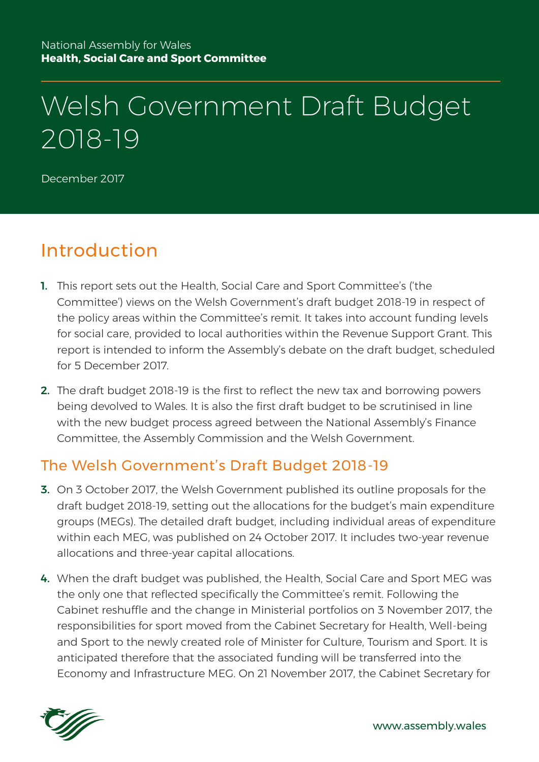# Welsh Government Draft Budget 2018-19

December 2017

### Introduction

- 1. This report sets out the Health, Social Care and Sport Committee's ('the Committee') views on the Welsh Government's draft budget 2018-19 in respect of the policy areas within the Committee's remit. It takes into account funding levels for social care, provided to local authorities within the Revenue Support Grant. This report is intended to inform the Assembly's debate on the draft budget, scheduled for 5 December 2017.
- 2. The draft budget 2018-19 is the first to reflect the new tax and borrowing powers being devolved to Wales. It is also the first draft budget to be scrutinised in line with the new budget process agreed between the National Assembly's Finance Committee, the Assembly Commission and the Welsh Government.

#### The Welsh Government's Draft Budget 2018-19

- 3. On 3 October 2017, the Welsh Government published its outline proposals for the draft budget 2018-19, setting out the allocations for the budget's main expenditure groups (MEGs). The detailed draft budget, including individual areas of expenditure within each MEG, was published on 24 October 2017. It includes two-year revenue allocations and three-year capital allocations.
- 4. When the draft budget was published, the Health, Social Care and Sport MEG was the only one that reflected specifically the Committee's remit. Following the Cabinet reshuffle and the change in Ministerial portfolios on 3 November 2017, the responsibilities for sport moved from the Cabinet Secretary for Health, Well-being and Sport to the newly created role of Minister for Culture, Tourism and Sport. It is anticipated therefore that the associated funding will be transferred into the Economy and Infrastructure MEG. On 21 November 2017, the Cabinet Secretary for

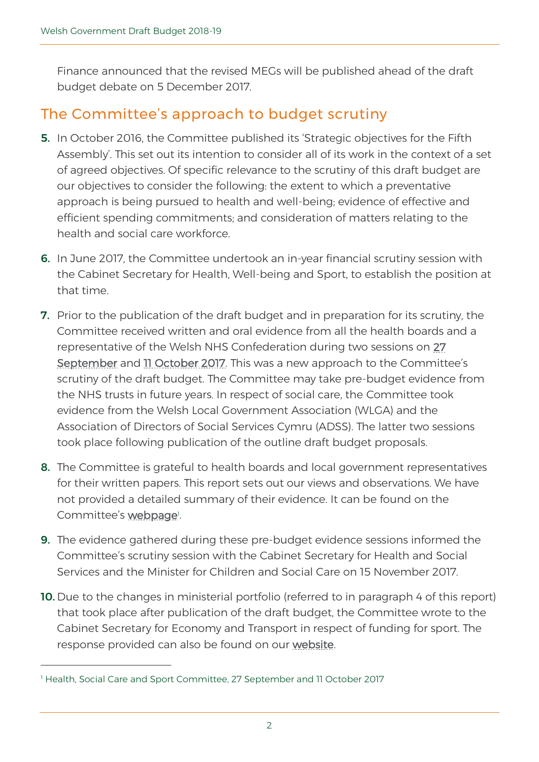Finance announced that the revised MEGs will be published ahead of the draft budget debate on 5 December 2017.

### The Committee's approach to budget scrutiny

- 5. In October 2016, the Committee published its 'Strategic objectives for the Fifth Assembly'. This set out its intention to consider all of its work in the context of a set of agreed objectives. Of specific relevance to the scrutiny of this draft budget are our objectives to consider the following: the extent to which a preventative approach is being pursued to health and well-being; evidence of effective and efficient spending commitments; and consideration of matters relating to the health and social care workforce.
- 6. In June 2017, the Committee undertook an in-year financial scrutiny session with the Cabinet Secretary for Health, Well-being and Sport, to establish the position at that time.
- **7.** Prior to the publication of the draft budget and in preparation for its scrutiny, the Committee received written and oral evidence from all the health boards and a representative of the Welsh NHS Confederation during two sessions on [27](http://senedd.assembly.wales/ieListDocuments.aspx?CId=448&MId=4409&Ver=4)  [September](http://senedd.assembly.wales/ieListDocuments.aspx?CId=448&MId=4409&Ver=4) and [11 October 2017.](http://senedd.assembly.wales/ieListDocuments.aspx?CId=448&MId=4411&Ver=4) This was a new approach to the Committee's scrutiny of the draft budget. The Committee may take pre-budget evidence from the NHS trusts in future years. In respect of social care, the Committee took evidence from the Welsh Local Government Association (WLGA) and the Association of Directors of Social Services Cymru (ADSS). The latter two sessions took place following publication of the outline draft budget proposals.
- 8. The Committee is grateful to health boards and local government representatives for their written papers. This report sets out our views and observations. We have not provided a detailed summary of their evidence. It can be found on the Committee's [webpage](http://www.assembly.wales/en/bus-home/committees/Pages/Committee-Profile.aspx?cid=448)!
- 9. The evidence gathered during these pre-budget evidence sessions informed the Committee's scrutiny session with the Cabinet Secretary for Health and Social Services and the Minister for Children and Social Care on 15 November 2017.
- 10. Due to the changes in ministerial portfolio (referred to in paragraph 4 of this report) that took place after publication of the draft budget, the Committee wrote to the Cabinet Secretary for Economy and Transport in respect of funding for sport. The response provided can also be found on our [website.](http://senedd.assembly.wales/documents/s69035/Paper%204%20-%20Response%20from%20the%20Cabinet%20Secretary%20for%20Economy%20and%20Transport.pdf)

 $\overline{a}$ 

<sup>&</sup>lt;sup>1</sup> Health, Social Care and Sport Committee, 27 September and 11 October 2017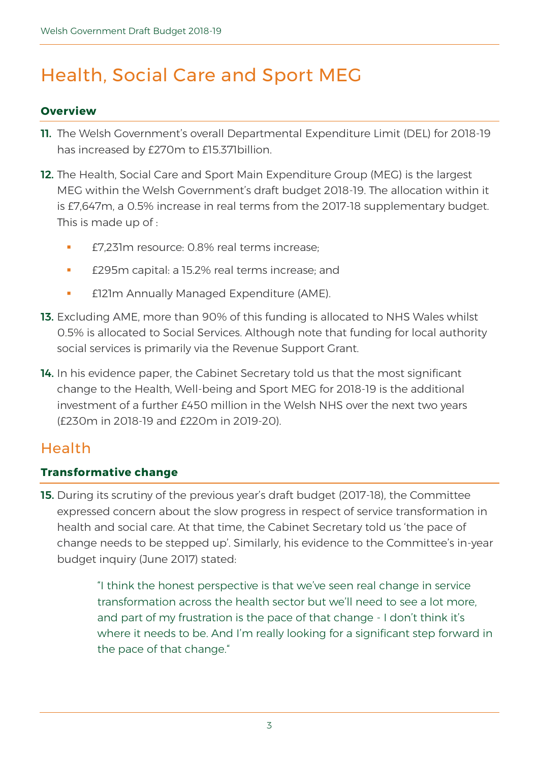## Health, Social Care and Sport MEG

#### **Overview**

- 11. The Welsh Government's overall Departmental Expenditure Limit (DEL) for 2018-19 has increased by £270m to £15.371billion.
- 12. The Health, Social Care and Sport Main Expenditure Group (MEG) is the largest MEG within the Welsh Government's draft budget 2018-19. The allocation within it is £7,647m, a 0.5% increase in real terms from the 2017-18 supplementary budget. This is made up of :
	- £7,231m resource: 0.8% real terms increase;
	- £295m capital: a 15.2% real terms increase; and
	- **E121m Annually Managed Expenditure (AME).**
- 13. Excluding AME, more than 90% of this funding is allocated to NHS Wales whilst 0.5% is allocated to Social Services. Although note that funding for local authority social services is primarily via the Revenue Support Grant.
- 14. In his evidence paper, the Cabinet Secretary told us that the most significant change to the Health, Well-being and Sport MEG for 2018-19 is the additional investment of a further £450 million in the Welsh NHS over the next two years (£230m in 2018-19 and £220m in 2019-20).

#### Health

#### **Transformative change**

15. During its scrutiny of the previous year's draft budget (2017-18), the Committee expressed concern about the slow progress in respect of service transformation in health and social care. At that time, the Cabinet Secretary told us 'the pace of change needs to be stepped up'. Similarly, his evidence to the Committee's in-year budget inquiry (June 2017) stated:

> "I think the honest perspective is that we've seen real change in service transformation across the health sector but we'll need to see a lot more, and part of my frustration is the pace of that change - I don't think it's where it needs to be. And I'm really looking for a significant step forward in the pace of that change."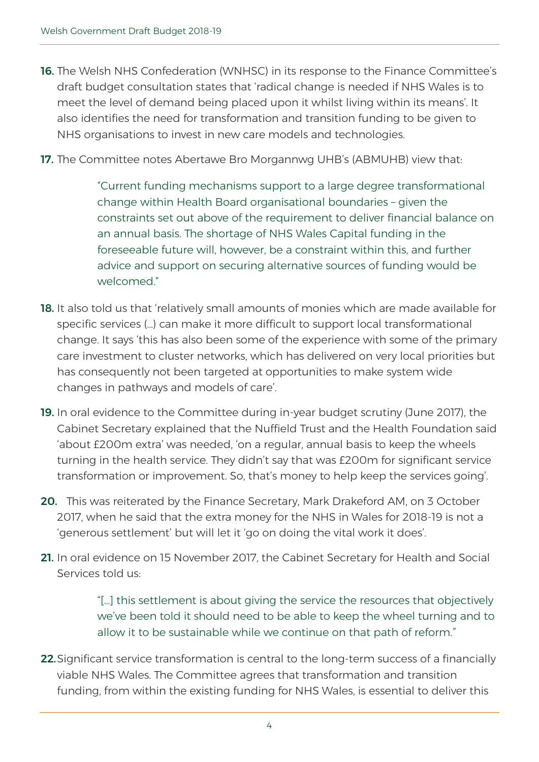- **16.** The Welsh NHS Confederation (WNHSC) in its response to the Finance Committee's draft budget consultation states that 'radical change is needed if NHS Wales is to meet the level of demand being placed upon it whilst living within its means'. It also identifies the need for transformation and transition funding to be given to NHS organisations to invest in new care models and technologies.
- 17. The Committee notes Abertawe Bro Morgannwg UHB's (ABMUHB) view that:

"Current funding mechanisms support to a large degree transformational change within Health Board organisational boundaries – given the constraints set out above of the requirement to deliver financial balance on an annual basis. The shortage of NHS Wales Capital funding in the foreseeable future will, however, be a constraint within this, and further advice and support on securing alternative sources of funding would be welcomed."

- 18. It also told us that 'relatively small amounts of monies which are made available for specific services (…) can make it more difficult to support local transformational change. It says 'this has also been some of the experience with some of the primary care investment to cluster networks, which has delivered on very local priorities but has consequently not been targeted at opportunities to make system wide changes in pathways and models of care'.
- 19. In oral evidence to the Committee during in-year budget scrutiny (June 2017), the Cabinet Secretary explained that the Nuffield Trust and the Health Foundation said 'about £200m extra' was needed, 'on a regular, annual basis to keep the wheels turning in the health service. They didn't say that was £200m for significant service transformation or improvement. So, that's money to help keep the services going'.
- 20. This was reiterated by the Finance Secretary, Mark Drakeford AM, on 3 October 2017, when he said that the extra money for the NHS in Wales for 2018-19 is not a 'generous settlement' but will let it 'go on doing the vital work it does'.
- 21. In oral evidence on 15 November 2017, the Cabinet Secretary for Health and Social Services told us:

"[…] this settlement is about giving the service the resources that objectively we've been told it should need to be able to keep the wheel turning and to allow it to be sustainable while we continue on that path of reform."

22. Significant service transformation is central to the long-term success of a financially viable NHS Wales. The Committee agrees that transformation and transition funding, from within the existing funding for NHS Wales, is essential to deliver this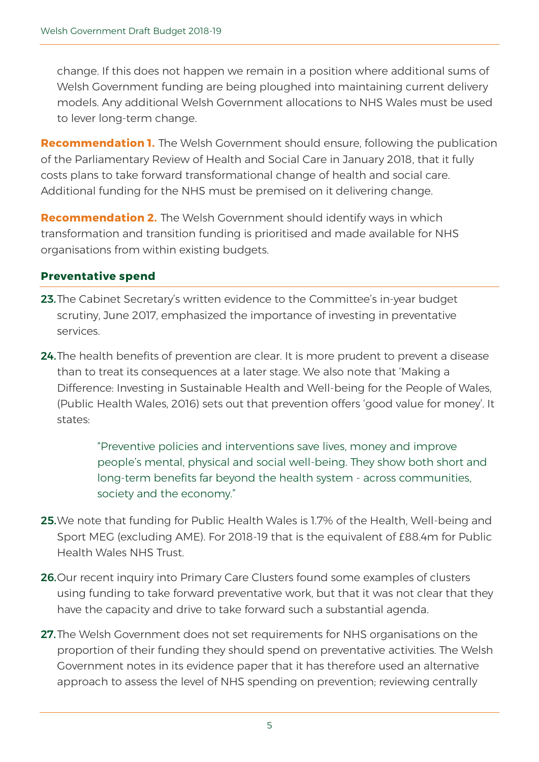change. If this does not happen we remain in a position where additional sums of Welsh Government funding are being ploughed into maintaining current delivery models. Any additional Welsh Government allocations to NHS Wales must be used to lever long-term change.

**Recommendation 1.** The Welsh Government should ensure, following the publication of the Parliamentary Review of Health and Social Care in January 2018, that it fully costs plans to take forward transformational change of health and social care. Additional funding for the NHS must be premised on it delivering change.

**Recommendation 2.** The Welsh Government should identify ways in which transformation and transition funding is prioritised and made available for NHS organisations from within existing budgets.

#### **Preventative spend**

- 23. The Cabinet Secretary's written evidence to the Committee's in-year budget scrutiny, June 2017, emphasized the importance of investing in preventative services.
- 24. The health benefits of prevention are clear. It is more prudent to prevent a disease than to treat its consequences at a later stage. We also note that 'Making a Difference: Investing in Sustainable Health and Well-being for the People of Wales, (Public Health Wales, 2016) sets out that prevention offers 'good value for money'. It states:

"Preventive policies and interventions save lives, money and improve people's mental, physical and social well-being. They show both short and long-term benefits far beyond the health system - across communities, society and the economy."

- 25.We note that funding for Public Health Wales is 1.7% of the Health, Well-being and Sport MEG (excluding AME). For 2018-19 that is the equivalent of £88.4m for Public Health Wales NHS Trust.
- 26. Our recent inquiry into Primary Care Clusters found some examples of clusters using funding to take forward preventative work, but that it was not clear that they have the capacity and drive to take forward such a substantial agenda.
- 27. The Welsh Government does not set requirements for NHS organisations on the proportion of their funding they should spend on preventative activities. The Welsh Government notes in its evidence paper that it has therefore used an alternative approach to assess the level of NHS spending on prevention; reviewing centrally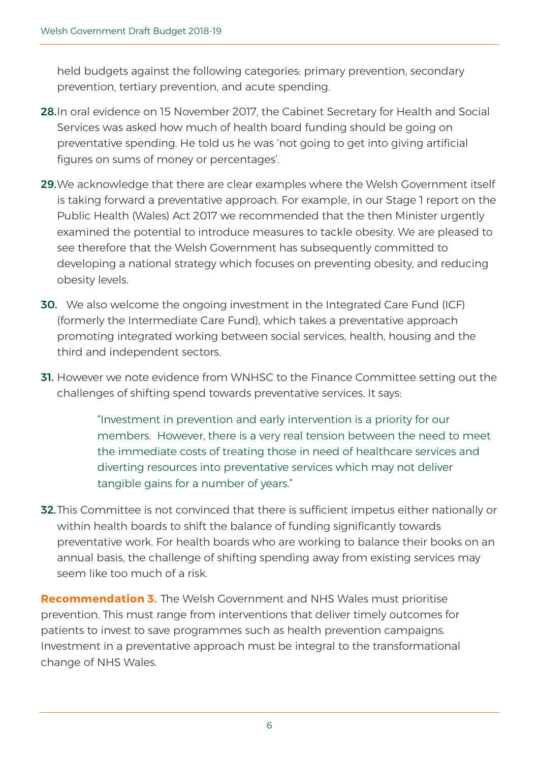held budgets against the following categories: primary prevention, secondary prevention, tertiary prevention, and acute spending.

- 28.In oral evidence on 15 November 2017, the Cabinet Secretary for Health and Social Services was asked how much of health board funding should be going on preventative spending. He told us he was 'not going to get into giving artificial figures on sums of money or percentages'.
- 29. We acknowledge that there are clear examples where the Welsh Government itself is taking forward a preventative approach. For example, in our Stage 1 report on the Public Health (Wales) Act 2017 we recommended that the then Minister urgently examined the potential to introduce measures to tackle obesity. We are pleased to see therefore that the Welsh Government has subsequently committed to developing a national strategy which focuses on preventing obesity, and reducing obesity levels.
- **30.** We also welcome the ongoing investment in the Integrated Care Fund (ICF) (formerly the Intermediate Care Fund), which takes a preventative approach promoting integrated working between social services, health, housing and the third and independent sectors.
- **31.** However we note evidence from WNHSC to the Finance Committee setting out the challenges of shifting spend towards preventative services. It says:

"Investment in prevention and early intervention is a priority for our members. However, there is a very real tension between the need to meet the immediate costs of treating those in need of healthcare services and diverting resources into preventative services which may not deliver tangible gains for a number of years."

**32.** This Committee is not convinced that there is sufficient impetus either nationally or within health boards to shift the balance of funding significantly towards preventative work. For health boards who are working to balance their books on an annual basis, the challenge of shifting spending away from existing services may seem like too much of a risk.

**Recommendation 3.** The Welsh Government and NHS Wales must prioritise prevention. This must range from interventions that deliver timely outcomes for patients to invest to save programmes such as health prevention campaigns. Investment in a preventative approach must be integral to the transformational change of NHS Wales.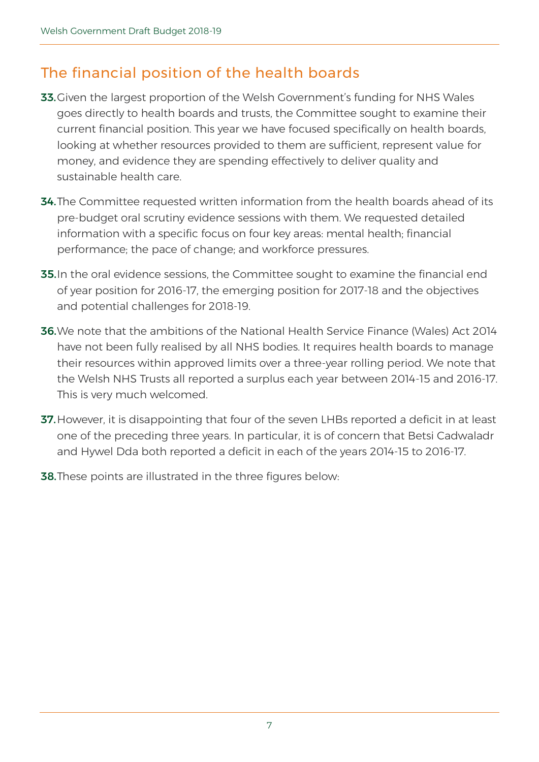### The financial position of the health boards

- 33. Given the largest proportion of the Welsh Government's funding for NHS Wales goes directly to health boards and trusts, the Committee sought to examine their current financial position. This year we have focused specifically on health boards, looking at whether resources provided to them are sufficient, represent value for money, and evidence they are spending effectively to deliver quality and sustainable health care.
- **34.** The Committee requested written information from the health boards ahead of its pre-budget oral scrutiny evidence sessions with them. We requested detailed information with a specific focus on four key areas: mental health; financial performance; the pace of change; and workforce pressures.
- **35.** In the oral evidence sessions, the Committee sought to examine the financial end of year position for 2016-17, the emerging position for 2017-18 and the objectives and potential challenges for 2018-19.
- 36.We note that the ambitions of the National Health Service Finance (Wales) Act 2014 have not been fully realised by all NHS bodies. It requires health boards to manage their resources within approved limits over a three-year rolling period. We note that the Welsh NHS Trusts all reported a surplus each year between 2014-15 and 2016-17. This is very much welcomed.
- 37. However, it is disappointing that four of the seven LHBs reported a deficit in at least one of the preceding three years. In particular, it is of concern that Betsi Cadwaladr and Hywel Dda both reported a deficit in each of the years 2014-15 to 2016-17.
- **38.** These points are illustrated in the three figures below: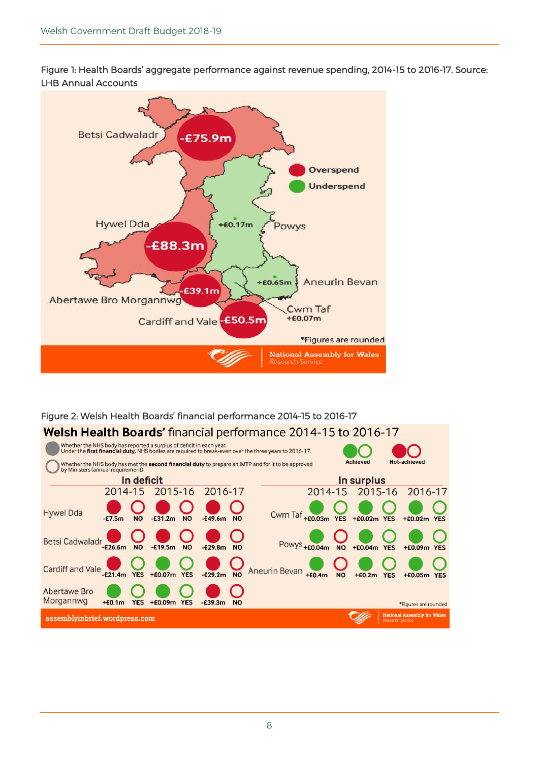Figure 1: Health Boards' aggregate performance against revenue spending, 2014-15 to 2016-17. Source: LHB Annual Accounts



#### Figure 2: Welsh Health Boards' financial performance 2014-15 to 2016-17 Welsh Health Boards' financial performance 2014-15 to 2016-17 Whether the NHS body has reported a surplus of deficit in each year.<br>Under the first financial duty, NHS bodies are required to break-even over the three years to 2016-17. Achieved Not-achieved | Whether the NHS body has met the **second financial duty** to prepare an IMTP and for it to be approved<br><sup>|</sup> by Ministers (annual requirement) In deficit In surplus 2014-15 2015-16 2016-17 2014-15 2015-16 2016-17 Cwm Taf +60.03m YES **Hywel Dda**  $-67.5m$ **NO**  $-631.2m$ **NO**  $-E49.6m$ **NO** +£0.02m YES  $+60.02m$ YES Betsi Cadwaladr<sub>-£26.6m</sub> Powys<sub>+£0.04m</sub> <sub>NO</sub>  $-£19.5m$ **NO**  $-629.8m$ **NO NO**  $+60.04m$  YES  $+60.09m$  YES Aneurin Bevan +20.4m NO +£0.07m YES  $-E29.2m$ **NO**  $+60.05m$  YES  $+60.2m$  YES **Abertawe Bro** Morgannwg  $+60.1m$ YES +£0.09m YES  $-E39.3m$ **NO** \*Figures are rounded National Assembly for Wale assemblyinbrief.wordpress.com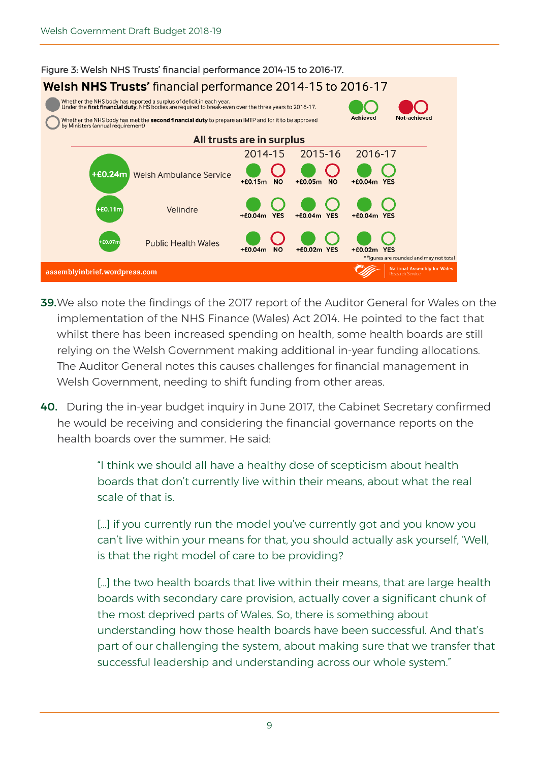

- 39.We also note the findings of the 2017 report of the Auditor General for Wales on the implementation of the NHS Finance (Wales) Act 2014. He pointed to the fact that whilst there has been increased spending on health, some health boards are still relying on the Welsh Government making additional in-year funding allocations. The Auditor General notes this causes challenges for financial management in Welsh Government, needing to shift funding from other areas.
- 40. During the in-year budget inquiry in June 2017, the Cabinet Secretary confirmed he would be receiving and considering the financial governance reports on the health boards over the summer. He said:

"I think we should all have a healthy dose of scepticism about health boards that don't currently live within their means, about what the real scale of that is.

[...] if you currently run the model you've currently got and you know you can't live within your means for that, you should actually ask yourself, 'Well, is that the right model of care to be providing?

[...] the two health boards that live within their means, that are large health boards with secondary care provision, actually cover a significant chunk of the most deprived parts of Wales. So, there is something about understanding how those health boards have been successful. And that's part of our challenging the system, about making sure that we transfer that successful leadership and understanding across our whole system."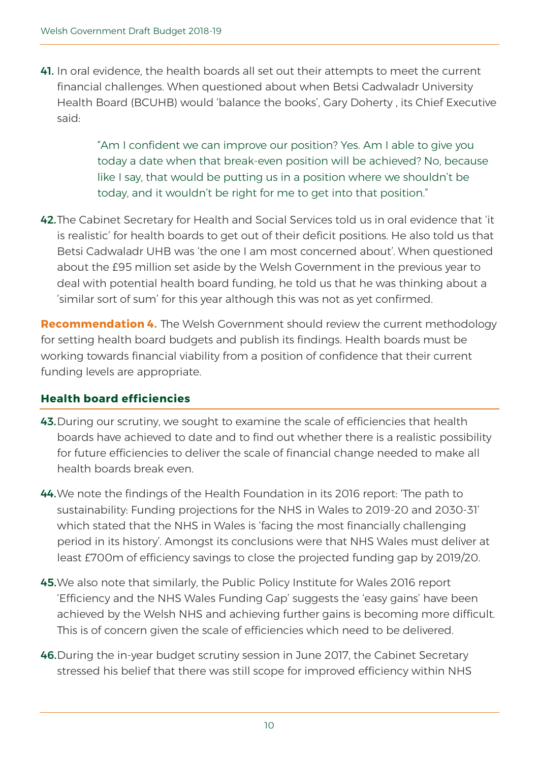41. In oral evidence, the health boards all set out their attempts to meet the current financial challenges. When questioned about when Betsi Cadwaladr University Health Board (BCUHB) would 'balance the books', Gary Doherty , its Chief Executive said:

> "Am I confident we can improve our position? Yes. Am I able to give you today a date when that break-even position will be achieved? No, because like I say, that would be putting us in a position where we shouldn't be today, and it wouldn't be right for me to get into that position."

42.The Cabinet Secretary for Health and Social Services told us in oral evidence that 'it is realistic' for health boards to get out of their deficit positions. He also told us that Betsi Cadwaladr UHB was 'the one I am most concerned about'. When questioned about the £95 million set aside by the Welsh Government in the previous year to deal with potential health board funding, he told us that he was thinking about a 'similar sort of sum' for this year although this was not as yet confirmed.

**Recommendation 4.** The Welsh Government should review the current methodology for setting health board budgets and publish its findings. Health boards must be working towards financial viability from a position of confidence that their current funding levels are appropriate.

#### **Health board efficiencies**

- 43. During our scrutiny, we sought to examine the scale of efficiencies that health boards have achieved to date and to find out whether there is a realistic possibility for future efficiencies to deliver the scale of financial change needed to make all health boards break even.
- 44.We note the findings of the Health Foundation in its 2016 report: 'The path to sustainability: Funding projections for the NHS in Wales to 2019-20 and 2030-31' which stated that the NHS in Wales is 'facing the most financially challenging period in its history'. Amongst its conclusions were that NHS Wales must deliver at least £700m of efficiency savings to close the projected funding gap by 2019/20.
- 45.We also note that similarly, the Public Policy Institute for Wales 2016 report 'Efficiency and the NHS Wales Funding Gap' suggests the 'easy gains' have been achieved by the Welsh NHS and achieving further gains is becoming more difficult. This is of concern given the scale of efficiencies which need to be delivered.
- 46.During the in-year budget scrutiny session in June 2017, the Cabinet Secretary stressed his belief that there was still scope for improved efficiency within NHS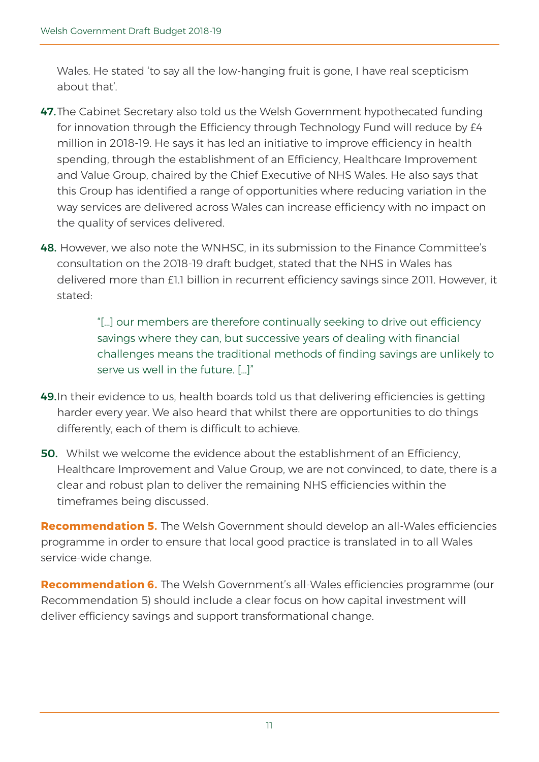Wales. He stated 'to say all the low-hanging fruit is gone, I have real scepticism about that'.

- 47. The Cabinet Secretary also told us the Welsh Government hypothecated funding for innovation through the Efficiency through Technology Fund will reduce by £4 million in 2018-19. He says it has led an initiative to improve efficiency in health spending, through the establishment of an Efficiency, Healthcare Improvement and Value Group, chaired by the Chief Executive of NHS Wales. He also says that this Group has identified a range of opportunities where reducing variation in the way services are delivered across Wales can increase efficiency with no impact on the quality of services delivered.
- 48. However, we also note the WNHSC, in its submission to the Finance Committee's consultation on the 2018-19 draft budget, stated that the NHS in Wales has delivered more than £1.1 billion in recurrent efficiency savings since 2011. However, it stated:

"[…] our members are therefore continually seeking to drive out efficiency savings where they can, but successive years of dealing with financial challenges means the traditional methods of finding savings are unlikely to serve us well in the future. […]"

- 49.In their evidence to us, health boards told us that delivering efficiencies is getting harder every year. We also heard that whilst there are opportunities to do things differently, each of them is difficult to achieve.
- **50.** Whilst we welcome the evidence about the establishment of an Efficiency. Healthcare Improvement and Value Group, we are not convinced, to date, there is a clear and robust plan to deliver the remaining NHS efficiencies within the timeframes being discussed.

**Recommendation 5.** The Welsh Government should develop an all-Wales efficiencies programme in order to ensure that local good practice is translated in to all Wales service-wide change.

**Recommendation 6.** The Welsh Government's all-Wales efficiencies programme (our Recommendation 5) should include a clear focus on how capital investment will deliver efficiency savings and support transformational change.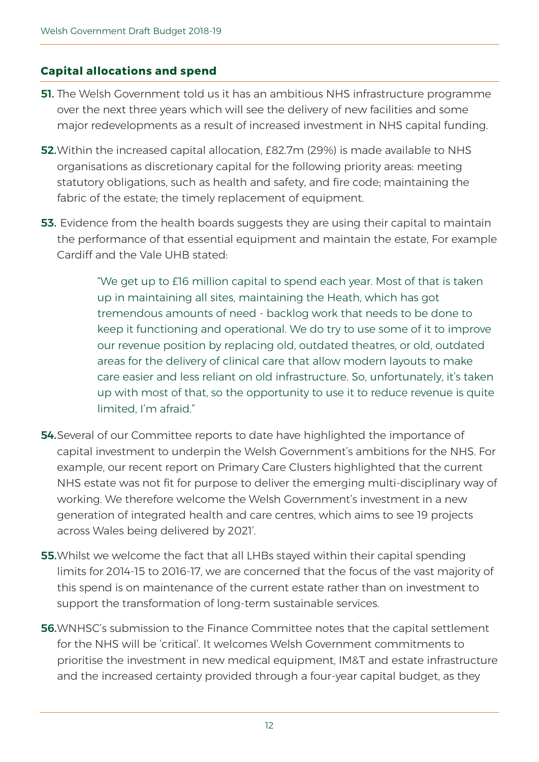#### **Capital allocations and spend**

- **51.** The Welsh Government told us it has an ambitious NHS infrastructure programme over the next three years which will see the delivery of new facilities and some major redevelopments as a result of increased investment in NHS capital funding.
- 52. Within the increased capital allocation, £82.7m (29%) is made available to NHS organisations as discretionary capital for the following priority areas: meeting statutory obligations, such as health and safety, and fire code; maintaining the fabric of the estate; the timely replacement of equipment.
- 53. Evidence from the health boards suggests they are using their capital to maintain the performance of that essential equipment and maintain the estate, For example Cardiff and the Vale UHB stated:

"We get up to £16 million capital to spend each year. Most of that is taken up in maintaining all sites, maintaining the Heath, which has got tremendous amounts of need - backlog work that needs to be done to keep it functioning and operational. We do try to use some of it to improve our revenue position by replacing old, outdated theatres, or old, outdated areas for the delivery of clinical care that allow modern layouts to make care easier and less reliant on old infrastructure. So, unfortunately, it's taken up with most of that, so the opportunity to use it to reduce revenue is quite limited, I'm afraid."

- **54.** Several of our Committee reports to date have highlighted the importance of capital investment to underpin the Welsh Government's ambitions for the NHS. For example, our recent report on Primary Care Clusters highlighted that the current NHS estate was not fit for purpose to deliver the emerging multi-disciplinary way of working. We therefore welcome the Welsh Government's investment in a new generation of integrated health and care centres, which aims to see 19 projects across Wales being delivered by 2021'.
- **55.** Whilst we welcome the fact that all LHBs stayed within their capital spending limits for 2014-15 to 2016-17, we are concerned that the focus of the vast majority of this spend is on maintenance of the current estate rather than on investment to support the transformation of long-term sustainable services.
- 56.WNHSC's submission to the Finance Committee notes that the capital settlement for the NHS will be 'critical'. It welcomes Welsh Government commitments to prioritise the investment in new medical equipment, IM&T and estate infrastructure and the increased certainty provided through a four-year capital budget, as they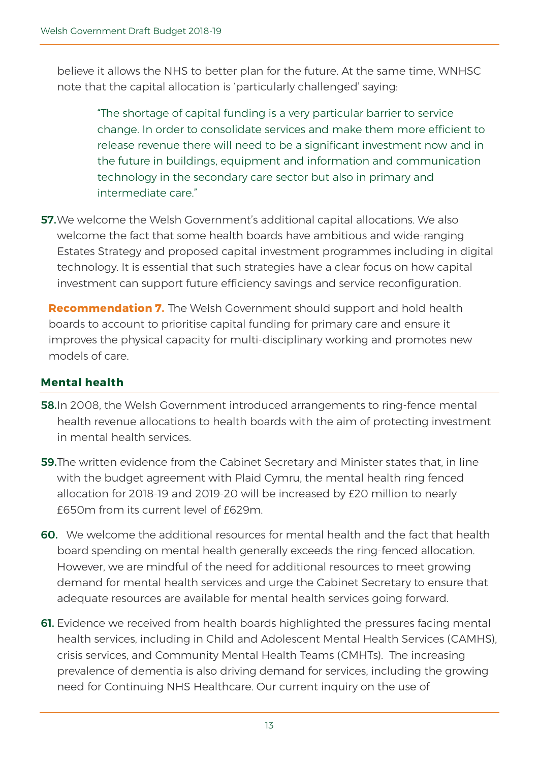believe it allows the NHS to better plan for the future. At the same time, WNHSC note that the capital allocation is 'particularly challenged' saying:

"The shortage of capital funding is a very particular barrier to service change. In order to consolidate services and make them more efficient to release revenue there will need to be a significant investment now and in the future in buildings, equipment and information and communication technology in the secondary care sector but also in primary and intermediate care."

57. We welcome the Welsh Government's additional capital allocations. We also welcome the fact that some health boards have ambitious and wide-ranging Estates Strategy and proposed capital investment programmes including in digital technology. It is essential that such strategies have a clear focus on how capital investment can support future efficiency savings and service reconfiguration.

**Recommendation 7.** The Welsh Government should support and hold health boards to account to prioritise capital funding for primary care and ensure it improves the physical capacity for multi-disciplinary working and promotes new models of care.

#### **Mental health**

- 58.In 2008, the Welsh Government introduced arrangements to ring-fence mental health revenue allocations to health boards with the aim of protecting investment in mental health services.
- 59.The written evidence from the Cabinet Secretary and Minister states that, in line with the budget agreement with Plaid Cymru, the mental health ring fenced allocation for 2018-19 and 2019-20 will be increased by £20 million to nearly £650m from its current level of £629m.
- 60. We welcome the additional resources for mental health and the fact that health board spending on mental health generally exceeds the ring-fenced allocation. However, we are mindful of the need for additional resources to meet growing demand for mental health services and urge the Cabinet Secretary to ensure that adequate resources are available for mental health services going forward.
- **61.** Evidence we received from health boards highlighted the pressures facing mental health services, including in Child and Adolescent Mental Health Services (CAMHS), crisis services, and Community Mental Health Teams (CMHTs). The increasing prevalence of dementia is also driving demand for services, including the growing need for Continuing NHS Healthcare. Our current inquiry on the use of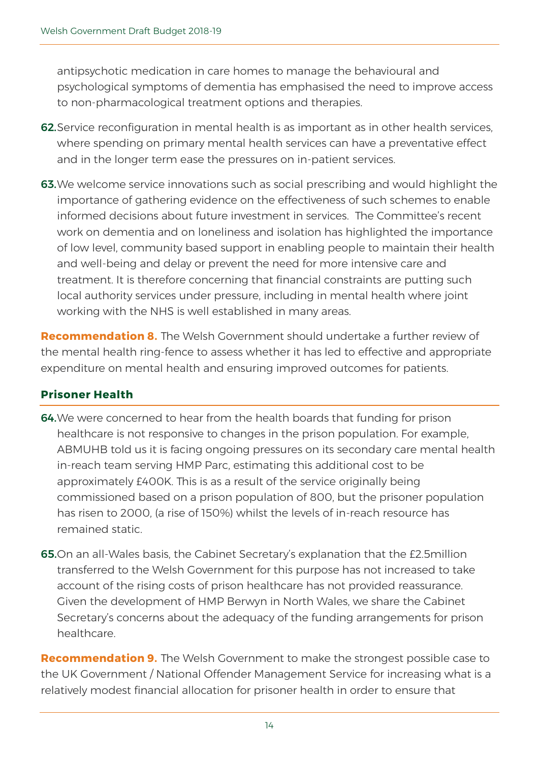antipsychotic medication in care homes to manage the behavioural and psychological symptoms of dementia has emphasised the need to improve access to non-pharmacological treatment options and therapies.

- 62. Service reconfiguration in mental health is as important as in other health services, where spending on primary mental health services can have a preventative effect and in the longer term ease the pressures on in-patient services.
- 63.We welcome service innovations such as social prescribing and would highlight the importance of gathering evidence on the effectiveness of such schemes to enable informed decisions about future investment in services. The Committee's recent work on dementia and on loneliness and isolation has highlighted the importance of low level, community based support in enabling people to maintain their health and well-being and delay or prevent the need for more intensive care and treatment. It is therefore concerning that financial constraints are putting such local authority services under pressure, including in mental health where joint working with the NHS is well established in many areas.

**Recommendation 8.** The Welsh Government should undertake a further review of the mental health ring-fence to assess whether it has led to effective and appropriate expenditure on mental health and ensuring improved outcomes for patients.

#### **Prisoner Health**

- 64. We were concerned to hear from the health boards that funding for prison healthcare is not responsive to changes in the prison population. For example, ABMUHB told us it is facing ongoing pressures on its secondary care mental health in-reach team serving HMP Parc, estimating this additional cost to be approximately £400K. This is as a result of the service originally being commissioned based on a prison population of 800, but the prisoner population has risen to 2000, (a rise of 150%) whilst the levels of in-reach resource has remained static.
- 65.On an all-Wales basis, the Cabinet Secretary's explanation that the £2.5million transferred to the Welsh Government for this purpose has not increased to take account of the rising costs of prison healthcare has not provided reassurance. Given the development of HMP Berwyn in North Wales, we share the Cabinet Secretary's concerns about the adequacy of the funding arrangements for prison healthcare.

**Recommendation 9.** The Welsh Government to make the strongest possible case to the UK Government / National Offender Management Service for increasing what is a relatively modest financial allocation for prisoner health in order to ensure that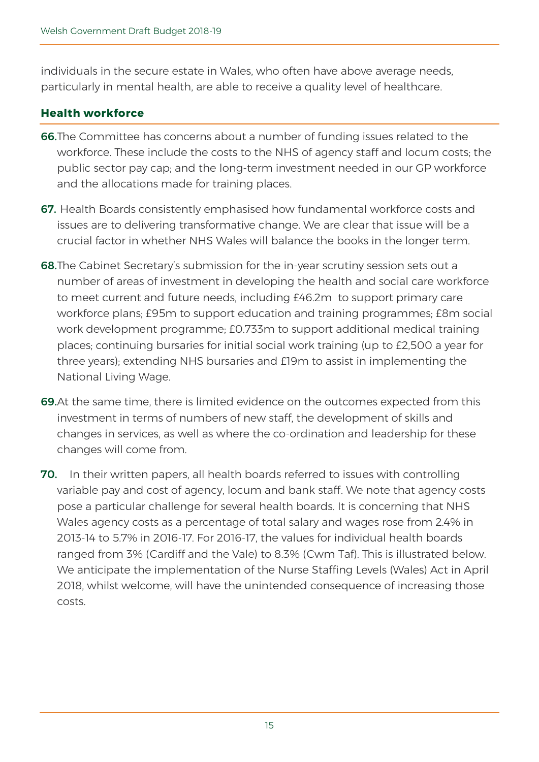individuals in the secure estate in Wales, who often have above average needs, particularly in mental health, are able to receive a quality level of healthcare.

#### **Health workforce**

- 66.The Committee has concerns about a number of funding issues related to the workforce. These include the costs to the NHS of agency staff and locum costs; the public sector pay cap; and the long-term investment needed in our GP workforce and the allocations made for training places.
- 67. Health Boards consistently emphasised how fundamental workforce costs and issues are to delivering transformative change. We are clear that issue will be a crucial factor in whether NHS Wales will balance the books in the longer term.
- 68.The Cabinet Secretary's submission for the in-year scrutiny session sets out a number of areas of investment in developing the health and social care workforce to meet current and future needs, including £46.2m to support primary care workforce plans; £95m to support education and training programmes; £8m social work development programme; £0.733m to support additional medical training places; continuing bursaries for initial social work training (up to £2,500 a year for three years); extending NHS bursaries and £19m to assist in implementing the National Living Wage.
- 69.At the same time, there is limited evidence on the outcomes expected from this investment in terms of numbers of new staff, the development of skills and changes in services, as well as where the co-ordination and leadership for these changes will come from.
- 70. In their written papers, all health boards referred to issues with controlling variable pay and cost of agency, locum and bank staff. We note that agency costs pose a particular challenge for several health boards. It is concerning that NHS Wales agency costs as a percentage of total salary and wages rose from 2.4% in 2013-14 to 5.7% in 2016-17. For 2016-17, the values for individual health boards ranged from 3% (Cardiff and the Vale) to 8.3% (Cwm Taf). This is illustrated below. We anticipate the implementation of the Nurse Staffing Levels (Wales) Act in April 2018, whilst welcome, will have the unintended consequence of increasing those costs.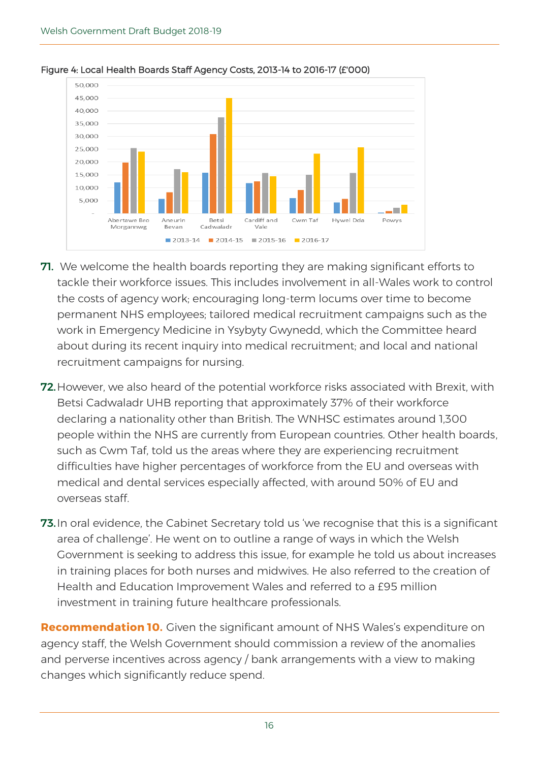

#### Figure 4: Local Health Boards Staff Agency Costs, 2013-14 to 2016-17 (£'000)

- **71.** We welcome the health boards reporting they are making significant efforts to tackle their workforce issues. This includes involvement in all-Wales work to control the costs of agency work; encouraging long-term locums over time to become permanent NHS employees; tailored medical recruitment campaigns such as the work in Emergency Medicine in Ysybyty Gwynedd, which the Committee heard about during its recent inquiry into medical recruitment; and local and national recruitment campaigns for nursing.
- 72. However, we also heard of the potential workforce risks associated with Brexit, with Betsi Cadwaladr UHB reporting that approximately 37% of their workforce declaring a nationality other than British. The WNHSC estimates around 1,300 people within the NHS are currently from European countries. Other health boards, such as Cwm Taf, told us the areas where they are experiencing recruitment difficulties have higher percentages of workforce from the EU and overseas with medical and dental services especially affected, with around 50% of EU and overseas staff.
- **73.** In oral evidence, the Cabinet Secretary told us 'we recognise that this is a significant area of challenge'. He went on to outline a range of ways in which the Welsh Government is seeking to address this issue, for example he told us about increases in training places for both nurses and midwives. He also referred to the creation of Health and Education Improvement Wales and referred to a £95 million investment in training future healthcare professionals.

**Recommendation 10.** Given the significant amount of NHS Wales's expenditure on agency staff, the Welsh Government should commission a review of the anomalies and perverse incentives across agency / bank arrangements with a view to making changes which significantly reduce spend.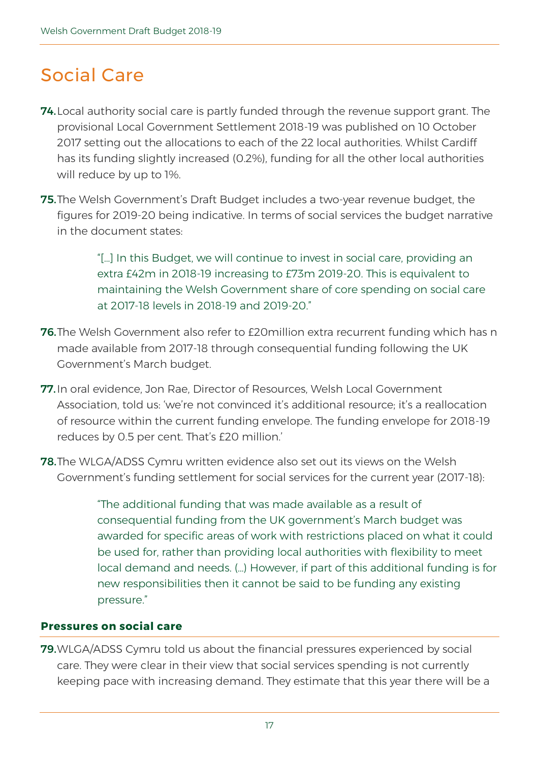### Social Care

- **74.** Local authority social care is partly funded through the revenue support grant. The provisional Local Government Settlement 2018-19 was published on 10 October 2017 setting out the allocations to each of the 22 local authorities. Whilst Cardiff has its funding slightly increased (0.2%), funding for all the other local authorities will reduce by up to 1%.
- 75.The Welsh Government's Draft Budget includes a two-year revenue budget, the figures for 2019-20 being indicative. In terms of social services the budget narrative in the document states:

"[…] In this Budget, we will continue to invest in social care, providing an extra £42m in 2018-19 increasing to £73m 2019-20. This is equivalent to maintaining the Welsh Government share of core spending on social care at 2017-18 levels in 2018-19 and 2019-20."

- 76. The Welsh Government also refer to £20 million extra recurrent funding which has n made available from 2017-18 through consequential funding following the UK Government's March budget.
- 77.In oral evidence, Jon Rae, Director of Resources, Welsh Local Government Association, told us: 'we're not convinced it's additional resource; it's a reallocation of resource within the current funding envelope. The funding envelope for 2018-19 reduces by 0.5 per cent. That's £20 million.'
- 78.The WLGA/ADSS Cymru written evidence also set out its views on the Welsh Government's funding settlement for social services for the current year (2017-18):

"The additional funding that was made available as a result of consequential funding from the UK government's March budget was awarded for specific areas of work with restrictions placed on what it could be used for, rather than providing local authorities with flexibility to meet local demand and needs. (…) However, if part of this additional funding is for new responsibilities then it cannot be said to be funding any existing pressure."

#### **Pressures on social care**

79.WLGA/ADSS Cymru told us about the financial pressures experienced by social care. They were clear in their view that social services spending is not currently keeping pace with increasing demand. They estimate that this year there will be a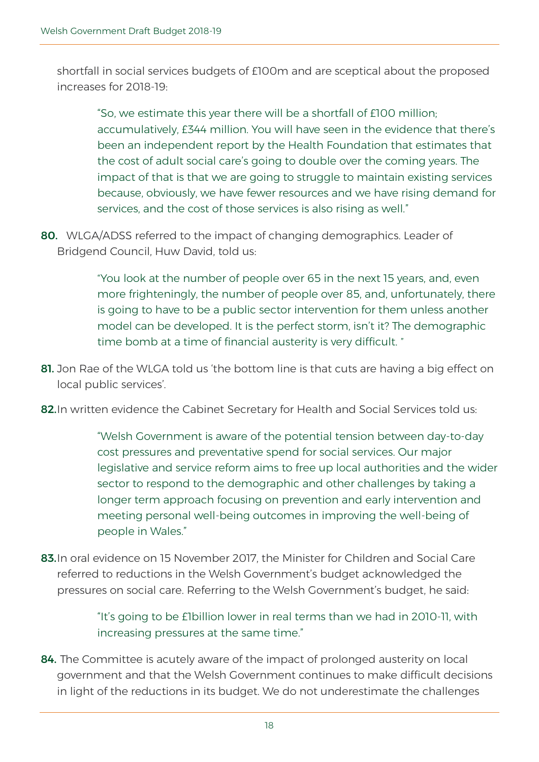shortfall in social services budgets of £100m and are sceptical about the proposed increases for 2018-19:

"So, we estimate this year there will be a shortfall of £100 million; accumulatively, £344 million. You will have seen in the evidence that there's been an independent report by the Health Foundation that estimates that the cost of adult social care's going to double over the coming years. The impact of that is that we are going to struggle to maintain existing services because, obviously, we have fewer resources and we have rising demand for services, and the cost of those services is also rising as well."

80. WLGA/ADSS referred to the impact of changing demographics. Leader of Bridgend Council, Huw David, told us:

> "You look at the number of people over 65 in the next 15 years, and, even more frighteningly, the number of people over 85, and, unfortunately, there is going to have to be a public sector intervention for them unless another model can be developed. It is the perfect storm, isn't it? The demographic time bomb at a time of financial austerity is very difficult. "

- 81. Jon Rae of the WLGA told us 'the bottom line is that cuts are having a big effect on local public services'.
- 82. In written evidence the Cabinet Secretary for Health and Social Services told us:

"Welsh Government is aware of the potential tension between day-to-day cost pressures and preventative spend for social services. Our major legislative and service reform aims to free up local authorities and the wider sector to respond to the demographic and other challenges by taking a longer term approach focusing on prevention and early intervention and meeting personal well-being outcomes in improving the well-being of people in Wales."

83. In oral evidence on 15 November 2017, the Minister for Children and Social Care referred to reductions in the Welsh Government's budget acknowledged the pressures on social care. Referring to the Welsh Government's budget, he said:

> "It's going to be £1billion lower in real terms than we had in 2010-11, with increasing pressures at the same time."

84. The Committee is acutely aware of the impact of prolonged austerity on local government and that the Welsh Government continues to make difficult decisions in light of the reductions in its budget. We do not underestimate the challenges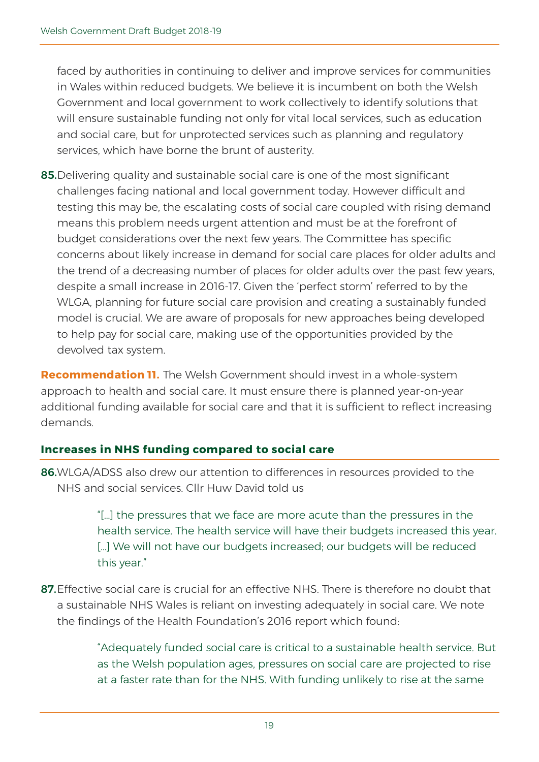faced by authorities in continuing to deliver and improve services for communities in Wales within reduced budgets. We believe it is incumbent on both the Welsh Government and local government to work collectively to identify solutions that will ensure sustainable funding not only for vital local services, such as education and social care, but for unprotected services such as planning and regulatory services, which have borne the brunt of austerity.

85. Delivering quality and sustainable social care is one of the most significant challenges facing national and local government today. However difficult and testing this may be, the escalating costs of social care coupled with rising demand means this problem needs urgent attention and must be at the forefront of budget considerations over the next few years. The Committee has specific concerns about likely increase in demand for social care places for older adults and the trend of a decreasing number of places for older adults over the past few years, despite a small increase in 2016-17. Given the 'perfect storm' referred to by the WLGA, planning for future social care provision and creating a sustainably funded model is crucial. We are aware of proposals for new approaches being developed to help pay for social care, making use of the opportunities provided by the devolved tax system.

**Recommendation 11.** The Welsh Government should invest in a whole-system approach to health and social care. It must ensure there is planned year-on-year additional funding available for social care and that it is sufficient to reflect increasing demands.

#### **Increases in NHS funding compared to social care**

86.WLGA/ADSS also drew our attention to differences in resources provided to the NHS and social services. Cllr Huw David told us

> "[…] the pressures that we face are more acute than the pressures in the health service. The health service will have their budgets increased this year. [...] We will not have our budgets increased; our budgets will be reduced this year."

87. Effective social care is crucial for an effective NHS. There is therefore no doubt that a sustainable NHS Wales is reliant on investing adequately in social care. We note the findings of the Health Foundation's 2016 report which found:

> "Adequately funded social care is critical to a sustainable health service. But as the Welsh population ages, pressures on social care are projected to rise at a faster rate than for the NHS. With funding unlikely to rise at the same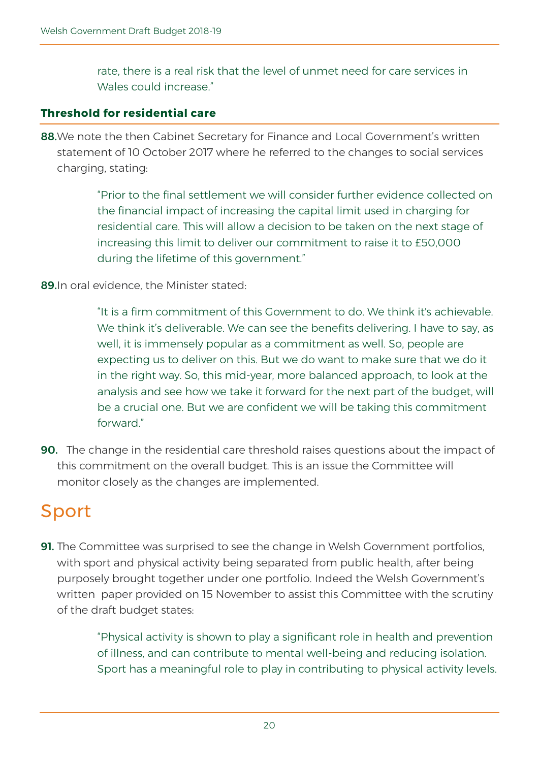rate, there is a real risk that the level of unmet need for care services in Wales could increase"

#### **Threshold for residential care**

88. We note the then Cabinet Secretary for Finance and Local Government's written statement of 10 October 2017 where he referred to the changes to social services charging, stating:

> "Prior to the final settlement we will consider further evidence collected on the financial impact of increasing the capital limit used in charging for residential care. This will allow a decision to be taken on the next stage of increasing this limit to deliver our commitment to raise it to £50,000 during the lifetime of this government."

89.In oral evidence, the Minister stated:

"It is a firm commitment of this Government to do. We think it's achievable. We think it's deliverable. We can see the benefits delivering. I have to say, as well, it is immensely popular as a commitment as well. So, people are expecting us to deliver on this. But we do want to make sure that we do it in the right way. So, this mid-year, more balanced approach, to look at the analysis and see how we take it forward for the next part of the budget, will be a crucial one. But we are confident we will be taking this commitment forward"

90. The change in the residential care threshold raises questions about the impact of this commitment on the overall budget. This is an issue the Committee will monitor closely as the changes are implemented.

### Sport

**91.** The Committee was surprised to see the change in Welsh Government portfolios, with sport and physical activity being separated from public health, after being purposely brought together under one portfolio. Indeed the Welsh Government's written paper provided on 15 November to assist this Committee with the scrutiny of the draft budget states:

> "Physical activity is shown to play a significant role in health and prevention of illness, and can contribute to mental well-being and reducing isolation. Sport has a meaningful role to play in contributing to physical activity levels.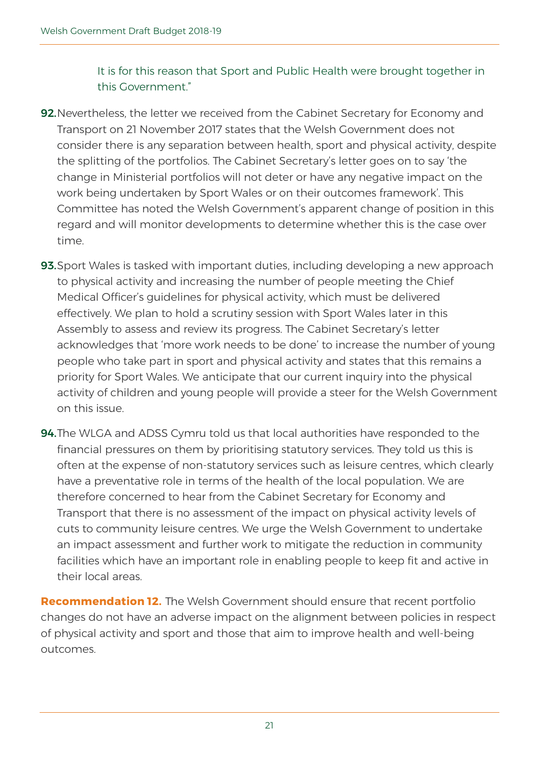It is for this reason that Sport and Public Health were brought together in this Government."

- 92. Nevertheless, the letter we received from the Cabinet Secretary for Economy and Transport on 21 November 2017 states that the Welsh Government does not consider there is any separation between health, sport and physical activity, despite the splitting of the portfolios. The Cabinet Secretary's letter goes on to say 'the change in Ministerial portfolios will not deter or have any negative impact on the work being undertaken by Sport Wales or on their outcomes framework'. This Committee has noted the Welsh Government's apparent change of position in this regard and will monitor developments to determine whether this is the case over time.
- 93. Sport Wales is tasked with important duties, including developing a new approach to physical activity and increasing the number of people meeting the Chief Medical Officer's guidelines for physical activity, which must be delivered effectively. We plan to hold a scrutiny session with Sport Wales later in this Assembly to assess and review its progress. The Cabinet Secretary's letter acknowledges that 'more work needs to be done' to increase the number of young people who take part in sport and physical activity and states that this remains a priority for Sport Wales. We anticipate that our current inquiry into the physical activity of children and young people will provide a steer for the Welsh Government on this issue.
- 94. The WLGA and ADSS Cymru told us that local authorities have responded to the financial pressures on them by prioritising statutory services. They told us this is often at the expense of non-statutory services such as leisure centres, which clearly have a preventative role in terms of the health of the local population. We are therefore concerned to hear from the Cabinet Secretary for Economy and Transport that there is no assessment of the impact on physical activity levels of cuts to community leisure centres. We urge the Welsh Government to undertake an impact assessment and further work to mitigate the reduction in community facilities which have an important role in enabling people to keep fit and active in their local areas.

**Recommendation 12.** The Welsh Government should ensure that recent portfolio changes do not have an adverse impact on the alignment between policies in respect of physical activity and sport and those that aim to improve health and well-being outcomes.